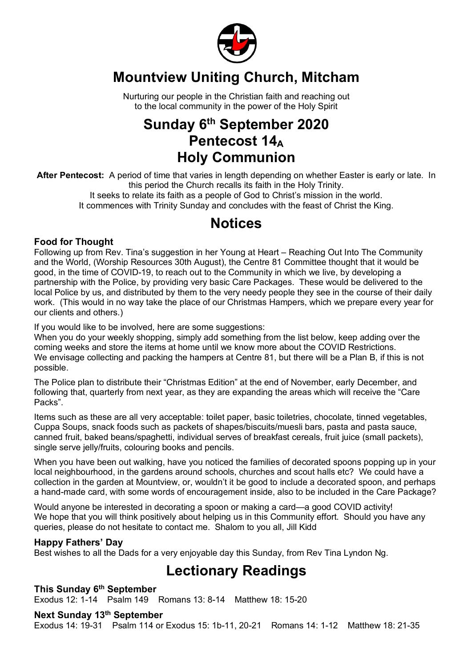

## **Mountview Uniting Church, Mitcham**

Nurturing our people in the Christian faith and reaching out to the local community in the power of the Holy Spirit

## **Sunday 6th September 2020 Pentecost 14**<sup>A</sup> **Holy Communion**

**After Pentecost:** A period of time that varies in length depending on whether Easter is early or late. In this period the Church recalls its faith in the Holy Trinity.

It seeks to relate its faith as a people of God to Christ's mission in the world. It commences with Trinity Sunday and concludes with the feast of Christ the King.

## **Notices**

#### **Food for Thought**

Following up from Rev. Tina's suggestion in her Young at Heart – Reaching Out Into The Community and the World, (Worship Resources 30th August), the Centre 81 Committee thought that it would be good, in the time of COVID-19, to reach out to the Community in which we live, by developing a partnership with the Police, by providing very basic Care Packages. These would be delivered to the local Police by us, and distributed by them to the very needy people they see in the course of their daily work. (This would in no way take the place of our Christmas Hampers, which we prepare every year for our clients and others.)

If you would like to be involved, here are some suggestions:

When you do your weekly shopping, simply add something from the list below, keep adding over the coming weeks and store the items at home until we know more about the COVID Restrictions. We envisage collecting and packing the hampers at Centre 81, but there will be a Plan B, if this is not possible.

The Police plan to distribute their "Christmas Edition" at the end of November, early December, and following that, quarterly from next year, as they are expanding the areas which will receive the "Care Packs".

Items such as these are all very acceptable: toilet paper, basic toiletries, chocolate, tinned vegetables, Cuppa Soups, snack foods such as packets of shapes/biscuits/muesli bars, pasta and pasta sauce, canned fruit, baked beans/spaghetti, individual serves of breakfast cereals, fruit juice (small packets), single serve jelly/fruits, colouring books and pencils.

When you have been out walking, have you noticed the families of decorated spoons popping up in your local neighbourhood, in the gardens around schools, churches and scout halls etc? We could have a collection in the garden at Mountview, or, wouldn't it be good to include a decorated spoon, and perhaps a hand-made card, with some words of encouragement inside, also to be included in the Care Package?

Would anyone be interested in decorating a spoon or making a card—a good COVID activity! We hope that you will think positively about helping us in this Community effort. Should you have any queries, please do not hesitate to contact me. Shalom to you all, Jill Kidd

#### **Happy Fathers' Day**

Best wishes to all the Dads for a very enjoyable day this Sunday, from Rev Tina Lyndon Ng.

## **Lectionary Readings**

#### **This Sunday 6th September**

Exodus 12: 1-14 Psalm 149 Romans 13: 8-14 Matthew 18: 15-20

**Next Sunday 13th September** Exodus 14: 19-31 Psalm 114 or Exodus 15: 1b-11, 20-21 Romans 14: 1-12 Matthew 18: 21-35